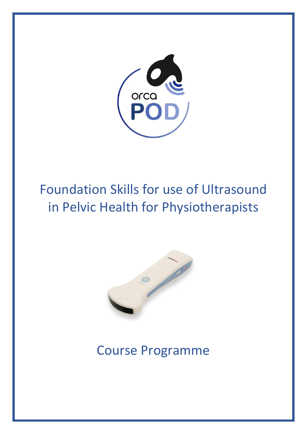

# Foundation Skills for use of Ultrasound in Pelvic Health for Physiotherapists



# Course Programme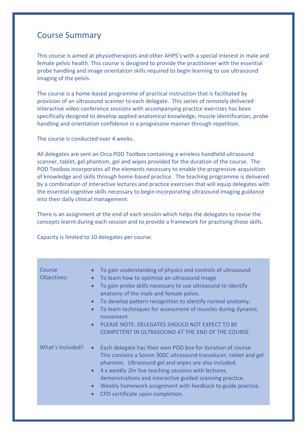### Course Summary

This course is aimed at physiotherapists and other AHPS's with a special interest in male and female pelvic health. This course is designed to provide the practitioner with the essential probe handling and image orientation skills required to begin learning to use ultrasound imaging of the pelvis.

The course is a home-based programme of practical instruction that is facilitated by provision of an ultrasound scanner to each delegate. This series of remotely delivered interactive video conference sessions with accompanying practice exercises has been specifically designed to develop applied anatomical knowledge, muscle identification, probe handling and orientation confidence in a progressive manner through repetition.

The course is conducted over 4 weeks.

All delegates are sent an Orca POD Toolbox containing a wireless handheld ultrasound scanner, tablet, gel phantom, gel and wipes provided for the duration of the course. The POD Toolbox incorporates all the elements necessary to enable the progressive acquisition of knowledge and skills through home-based practice. The teaching programme is delivered by a combination of interactive lectures and practice exercises that will equip delegates with the essential cognitive skills necessary to begin incorporating ultrasound imaging guidance into their daily clinical management.

There is an assignment at the end of each session which helps the delegates to revise the concepts learnt during each session and to provide a framework for practising those skills.

Capacity is limited to 10 delegates per course.

| Course<br>Objectives: | To gain understanding of physics and controls of ultrasound<br>To learn how to optimise an ultrasound image<br>$\bullet$<br>To gain probe skills necessary to use ultrasound to identify<br>$\bullet$<br>anatomy of the male and female pelvis.<br>To develop pattern recognition to identify normal anatomy.<br>$\bullet$<br>To learn techniques for assessment of muscles during dynamic<br>$\bullet$<br>movement.<br>PLEASE NOTE: DELEGATES SHOULD NOT EXPECT TO BE<br>$\bullet$<br>COMPETENT IN ULTRASOUND AT THE END OF THE COURSE. |
|-----------------------|------------------------------------------------------------------------------------------------------------------------------------------------------------------------------------------------------------------------------------------------------------------------------------------------------------------------------------------------------------------------------------------------------------------------------------------------------------------------------------------------------------------------------------------|
| What's Included?      | Each delegate has their own POD box for duration of course.<br>$\bullet$<br>This contains a Sonon 300C ultrasound transducer, tablet and gel<br>phantom. Ultrasound gel and wipes are also included.<br>4 x weekly 2hr live teaching sessions with lectures,<br>$\bullet$<br>demonstrations and interactive guided scanning practice.<br>Weekly homework assignment with feedback to guide practice.<br>$\bullet$<br>CPD certificate upon completion.<br>$\bullet$                                                                       |